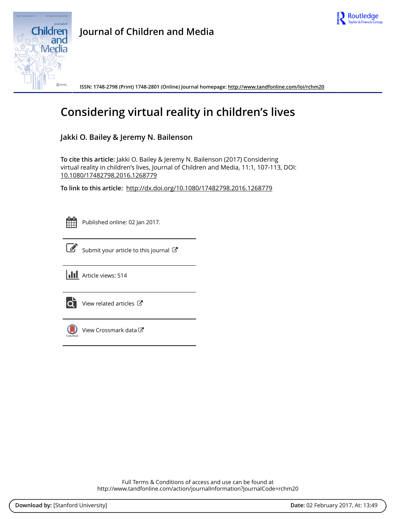



**Journal of Children and Media**

**ISSN: 1748-2798 (Print) 1748-2801 (Online) Journal homepage:<http://www.tandfonline.com/loi/rchm20>**

# **Considering virtual reality in children's lives**

### **Jakki O. Bailey & Jeremy N. Bailenson**

**To cite this article:** Jakki O. Bailey & Jeremy N. Bailenson (2017) Considering virtual reality in children's lives, Journal of Children and Media, 11:1, 107-113, DOI: [10.1080/17482798.2016.1268779](http://www.tandfonline.com/action/showCitFormats?doi=10.1080/17482798.2016.1268779)

**To link to this article:** <http://dx.doi.org/10.1080/17482798.2016.1268779>



Published online: 02 Jan 2017.



 $\overrightarrow{S}$  [Submit your article to this journal](http://www.tandfonline.com/action/authorSubmission?journalCode=rchm20&show=instructions)  $G$ 





 $\overrightarrow{Q}$  [View related articles](http://www.tandfonline.com/doi/mlt/10.1080/17482798.2016.1268779)  $\overrightarrow{C}$ 



[View Crossmark data](http://crossmark.crossref.org/dialog/?doi=10.1080/17482798.2016.1268779&domain=pdf&date_stamp=2017-01-02)

Full Terms & Conditions of access and use can be found at <http://www.tandfonline.com/action/journalInformation?journalCode=rchm20>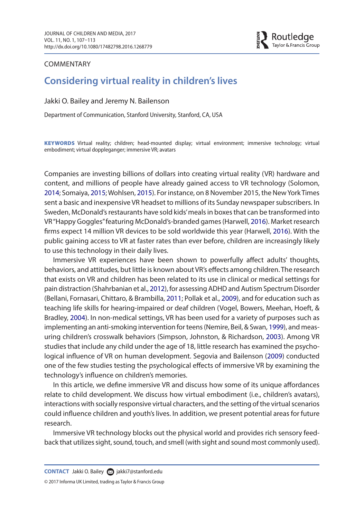<span id="page-1-10"></span><span id="page-1-6"></span><span id="page-1-4"></span><span id="page-1-3"></span><span id="page-1-2"></span><span id="page-1-1"></span>Routledge Taylor & Francis Group

### **COMMENTARY**

## **Considering virtual reality in children's lives**

Jakki O. Bailey and Jeremy N. Bailenson

Department of Communication, Stanford University, Stanford, CA, USA

KEYWORDS Virtual reality; children; head-mounted display; virtual environment; immersive technology; virtual embodiment; virtual doppleganger; immersive VR; avatars

<span id="page-1-8"></span><span id="page-1-7"></span>Companies are investing billions of dollars into creating virtual reality (VR) hardware and content, and millions of people have already gained access to VR technology (Solomon, [2014](#page-7-0); Somaiya, [2015](#page-7-1); Wohlsen, [2015](#page-7-2)). For instance, on 8 November 2015, the New York Times sent a basic and inexpensive VR headset to millions of its Sunday newspaper subscribers. In Sweden, McDonald's restaurants have sold kids' meals in boxes that can be transformed into VR "Happy Goggles" featuring McDonald's-branded games (Harwell, [2016](#page-6-0)). Market research firms expect 14 million VR devices to be sold worldwide this year (Harwell, [2016\)](#page-6-0). With the public gaining access to VR at faster rates than ever before, children are increasingly likely to use this technology in their daily lives.

<span id="page-1-9"></span><span id="page-1-5"></span><span id="page-1-0"></span>Immersive VR experiences have been shown to powerfully affect adults' thoughts, behaviors, and attitudes, but little is known about VR's effects among children. The research that exists on VR and children has been related to its use in clinical or medical settings for pain distraction (Shahrbanian et al., [2012](#page-6-1)), for assessing ADHD and Autism Spectrum Disorder (Bellani, Fornasari, Chittaro, & Brambilla, [2011](#page-5-0); Pollak et al., [2009\)](#page-6-2), and for education such as teaching life skills for hearing-impaired or deaf children (Vogel, Bowers, Meehan, Hoeft, & Bradley, [2004\)](#page-7-3). In non-medical settings, VR has been used for a variety of purposes such as implementing an anti-smoking intervention for teens (Nemire, Beil, & Swan, [1999\)](#page-6-3), and measuring children's crosswalk behaviors (Simpson, Johnston, & Richardson, [2003](#page-6-4)). Among VR studies that include any child under the age of 18, little research has examined the psychological influence of VR on human development. Segovia and Bailenson [\(2009\)](#page-6-5) conducted one of the few studies testing the psychological effects of immersive VR by examining the technology's influence on children's memories.

In this article, we define immersive VR and discuss how some of its unique affordances relate to child development. We discuss how virtual embodiment (i.e., children's avatars), interactions with socially responsive virtual characters, and the setting of the virtual scenarios could influence children and youth's lives. In addition, we present potential areas for future research.

Immersive VR technology blocks out the physical world and provides rich sensory feedback that utilizes sight, sound, touch, and smell (with sight and sound most commonly used).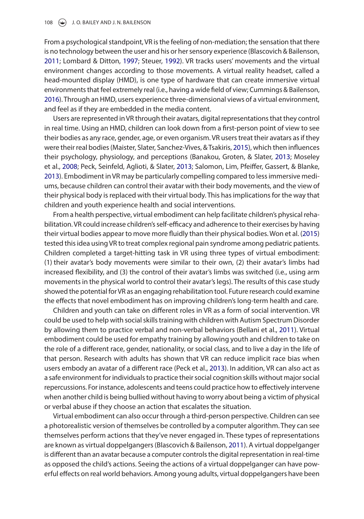<span id="page-2-8"></span><span id="page-2-3"></span><span id="page-2-1"></span>From a psychological standpoint, VR is the feeling of non-mediation; the sensation that there is no technology between the user and his or her sensory experience (Blascovich & Bailenson, [2011;](#page-5-1) Lombard & Ditton, [1997](#page-6-6); Steuer, [1992](#page-7-4)). VR tracks users' movements and the virtual environment changes according to those movements. A virtual reality headset, called a head-mounted display (HMD), is one type of hardware that can create immersive virtual environments that feel extremely real (i.e., having a wide field of view; Cummings & Bailenson, [2016](#page-5-2)). Through an HMD, users experience three-dimensional views of a virtual environment, and feel as if they are embedded in the media content.

<span id="page-2-6"></span><span id="page-2-5"></span><span id="page-2-4"></span><span id="page-2-2"></span><span id="page-2-0"></span>Users are represented in VR through their avatars, digital representations that they control in real time. Using an HMD, children can look down from a first-person point of view to see their bodies as any race, gender, age, or even organism. VR users treat their avatars as if they were their real bodies (Maister, Slater, Sanchez-Vives, & Tsakiris, [2015](#page-6-7)), which then influences their psychology, physiology, and perceptions (Banakou, Groten, & Slater, [2013](#page-5-3); Moseley et al., [2008;](#page-6-8) Peck, Seinfeld, Aglioti, & Slater, [2013;](#page-6-9) Salomon, Lim, Pfeiffer, Gassert, & Blanke, [2013](#page-6-10)). Embodiment in VR may be particularly compelling compared to less immersive mediums, because children can control their avatar with their body movements, and the view of their physical body is replaced with their virtual body. This has implications for the way that children and youth experience health and social interventions.

<span id="page-2-9"></span><span id="page-2-7"></span>From a health perspective, virtual embodiment can help facilitate children's physical rehabilitation. VR could increase children's self-efficacy and adherence to their exercises by having their virtual bodies appear to move more fluidly than their physical bodies. Won et al. ([2015](#page-7-5)) tested this idea using VR to treat complex regional pain syndrome among pediatric patients. Children completed a target-hitting task in VR using three types of virtual embodiment: (1) their avatar's body movements were similar to their own, (2) their avatar's limbs had increased flexibility, and (3) the control of their avatar's limbs was switched (i.e., using arm movements in the physical world to control their avatar's legs). The results of this case study showed the potential for VR as an engaging rehabilitation tool. Future research could examine the effects that novel embodiment has on improving children's long-term health and care.

Children and youth can take on different roles in VR as a form of social intervention. VR could be used to help with social skills training with children with Autism Spectrum Disorder by allowing them to practice verbal and non-verbal behaviors (Bellani et al., [2011\)](#page-5-0). Virtual embodiment could be used for empathy training by allowing youth and children to take on the role of a different race, gender, nationality, or social class, and to live a day in the life of that person. Research with adults has shown that VR can reduce implicit race bias when users embody an avatar of a different race (Peck et al., [2013\)](#page-6-9). In addition, VR can also act as a safe environment for individuals to practice their social cognition skills without major social repercussions. For instance, adolescents and teens could practice how to effectively intervene when another child is being bullied without having to worry about being a victim of physical or verbal abuse if they choose an action that escalates the situation.

Virtual embodiment can also occur through a third-person perspective. Children can see a photorealistic version of themselves be controlled by a computer algorithm. They can see themselves perform actions that they've never engaged in. These types of representations are known as virtual doppelgangers (Blascovich & Bailenson, [2011\)](#page-5-1). A virtual doppelganger is different than an avatar because a computer controls the digital representation in real-time as opposed the child's actions. Seeing the actions of a virtual doppelganger can have powerful effects on real world behaviors. Among young adults, virtual doppelgangers have been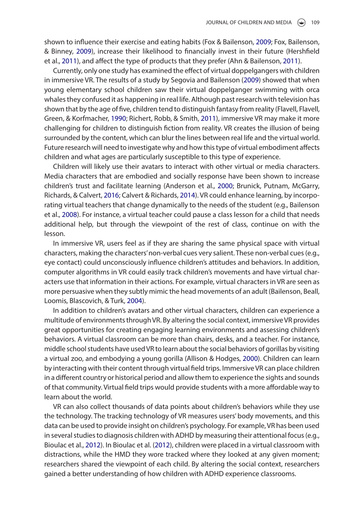<span id="page-3-10"></span><span id="page-3-9"></span>shown to influence their exercise and eating habits (Fox & Bailenson, [2009;](#page-6-11) Fox, Bailenson, & Binney, [2009\)](#page-6-12), increase their likelihood to financially invest in their future (Hershfield et al., [2011](#page-6-13)), and affect the type of products that they prefer (Ahn & Bailenson, [2011](#page-5-4)).

<span id="page-3-12"></span><span id="page-3-11"></span><span id="page-3-8"></span><span id="page-3-0"></span>Currently, only one study has examined the effect of virtual doppelgangers with children in immersive VR. The results of a study by Segovia and Bailenson [\(2009\)](#page-6-5) showed that when young elementary school children saw their virtual doppelganger swimming with orca whales they confused it as happening in real life. Although past research with television has shown that by the age of five, children tend to distinguish fantasy from reality (Flavell, Flavell, Green, & Korfmacher, [1990;](#page-6-14) Richert, Robb, & Smith, [2011\)](#page-6-15), immersive VR may make it more challenging for children to distinguish fiction from reality. VR creates the illusion of being surrounded by the content, which can blur the lines between real life and the virtual world. Future research will need to investigate why and how this type of virtual embodiment affects children and what ages are particularly susceptible to this type of experience.

<span id="page-3-7"></span><span id="page-3-6"></span><span id="page-3-2"></span>Children will likely use their avatars to interact with other virtual or media characters. Media characters that are embodied and socially response have been shown to increase children's trust and facilitate learning (Anderson et al., [2000](#page-5-5); Brunick, Putnam, McGarry, Richards, & Calvert, [2016](#page-5-6); Calvert & Richards, [2014](#page-5-7)). VR could enhance learning, by incorporating virtual teachers that change dynamically to the needs of the student (e.g., Bailenson et al., [2008](#page-5-8)). For instance, a virtual teacher could pause a class lesson for a child that needs additional help, but through the viewpoint of the rest of class, continue on with the lesson.

<span id="page-3-4"></span>In immersive VR, users feel as if they are sharing the same physical space with virtual characters, making the characters' non-verbal cues very salient. These non-verbal cues (e.g., eye contact) could unconsciously influence children's attitudes and behaviors. In addition, computer algorithms in VR could easily track children's movements and have virtual characters use that information in their actions. For example, virtual characters in VR are seen as more persuasive when they subtly mimic the head movements of an adult (Bailenson, Beall, Loomis, Blascovich, & Turk, [2004\)](#page-5-9).

<span id="page-3-3"></span><span id="page-3-1"></span>In addition to children's avatars and other virtual characters, children can experience a multitude of environments through VR. By altering the social context, immersive VR provides great opportunities for creating engaging learning environments and assessing children's behaviors. A virtual classroom can be more than chairs, desks, and a teacher. For instance, middle school students have used VR to learn about the social behaviors of gorillas by visiting a virtual zoo, and embodying a young gorilla (Allison & Hodges, [2000\)](#page-5-10). Children can learn by interacting with their content through virtual field trips. Immersive VR can place children in a different country or historical period and allow them to experience the sights and sounds of that community. Virtual field trips would provide students with a more affordable way to learn about the world.

<span id="page-3-5"></span>VR can also collect thousands of data points about children's behaviors while they use the technology. The tracking technology of VR measures users' body movements, and this data can be used to provide insight on children's psychology. For example, VR has been used in several studies to diagnosis children with ADHD by measuring their attentional focus (e.g., Bioulac et al., [2012](#page-5-11)). In Bioulac et al. ([2012](#page-5-11)), children were placed in a virtual classroom with distractions, while the HMD they wore tracked where they looked at any given moment; researchers shared the viewpoint of each child. By altering the social context, researchers gained a better understanding of how children with ADHD experience classrooms.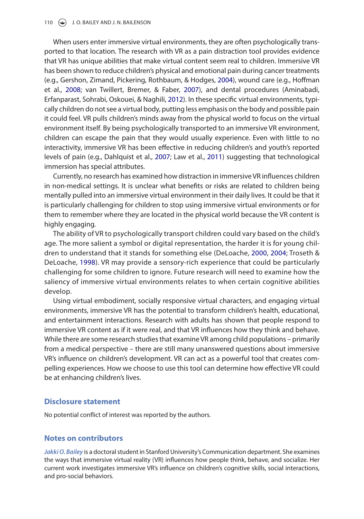<span id="page-4-8"></span><span id="page-4-5"></span><span id="page-4-4"></span><span id="page-4-0"></span>When users enter immersive virtual environments, they are often psychologically transported to that location. The research with VR as a pain distraction tool provides evidence that VR has unique abilities that make virtual content seem real to children. Immersive VR has been shown to reduce children's physical and emotional pain during cancer treatments (e.g., Gershon, Zimand, Pickering, Rothbaum, & Hodges, [2004\)](#page-6-16), wound care (e.g., Hoffman et al., [2008](#page-6-17); van Twillert, Bremer, & Faber, [2007\)](#page-7-6), and dental procedures (Aminabadi, Erfanparast, Sohrabi, Oskouei, & Naghili, [2012](#page-5-12)). In these specific virtual environments, typically children do not see a virtual body, putting less emphasis on the body and possible pain it could feel. VR pulls children's minds away from the physical world to focus on the virtual environment itself. By being psychologically transported to an immersive VR environment, children can escape the pain that they would usually experience. Even with little to no interactivity, immersive VR has been effective in reducing children's and youth's reported levels of pain (e.g., Dahlquist et al., [2007;](#page-5-13) Law et al., [2011](#page-6-18)) suggesting that technological immersion has special attributes.

<span id="page-4-6"></span><span id="page-4-1"></span>Currently, no research has examined how distraction in immersive VR influences children in non-medical settings. It is unclear what benefits or risks are related to children being mentally pulled into an immersive virtual environment in their daily lives. It could be that it is particularly challenging for children to stop using immersive virtual environments or for them to remember where they are located in the physical world because the VR content is highly engaging.

<span id="page-4-7"></span><span id="page-4-3"></span><span id="page-4-2"></span>The ability of VR to psychologically transport children could vary based on the child's age. The more salient a symbol or digital representation, the harder it is for young children to understand that it stands for something else (DeLoache, [2000](#page-5-14), [2004](#page-5-15); Troseth & DeLoache, [1998](#page-7-7)). VR may provide a sensory-rich experience that could be particularly challenging for some children to ignore. Future research will need to examine how the saliency of immersive virtual environments relates to when certain cognitive abilities develop.

Using virtual embodiment, socially responsive virtual characters, and engaging virtual environments, immersive VR has the potential to transform children's health, educational, and entertainment interactions. Research with adults has shown that people respond to immersive VR content as if it were real, and that VR influences how they think and behave. While there are some research studies that examine VR among child populations – primarily from a medical perspective – there are still many unanswered questions about immersive VR's influence on children's development. VR can act as a powerful tool that creates compelling experiences. How we choose to use this tool can determine how effective VR could be at enhancing children's lives.

### **Disclosure statement**

No potential conflict of interest was reported by the authors.

#### **Notes on contributors**

*Jakki O. Bailey* is a doctoral student in Stanford University's Communication department. She examines the ways that immersive virtual reality (VR) influences how people think, behave, and socialize. Her current work investigates immersive VR's influence on children's cognitive skills, social interactions, and pro-social behaviors.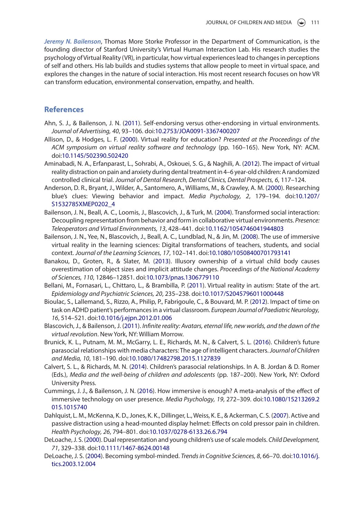*Jeremy N. Bailenson*, Thomas More Storke Professor in the Department of Communication, is the founding director of Stanford University's Virtual Human Interaction Lab. His research studies the psychology of Virtual Reality (VR), in particular, how virtual experiences lead to changes in perceptions of self and others. His lab builds and studies systems that allow people to meet in virtual space, and explores the changes in the nature of social interaction. His most recent research focuses on how VR can transform education, environmental conservation, empathy, and health.

### **References**

- <span id="page-5-4"></span>Ahn, S. J., & Bailenson, J. N. ([2011](#page-3-0)). Self-endorsing versus other-endorsing in virtual environments. *Journal of Advertising, 40*, 93–106. doi[:10.2753/JOA0091-3367400207](http://dx.doi.org/10.2753/JOA0091-3367400207)
- <span id="page-5-10"></span>Allison, D., & Hodges, L. F. [\(2000\)](#page-3-1). Virtual reality for education? *Presented at the Proceedings of the ACM symposium on virtual reality software and technology* (pp. 160–165). New York, NY: ACM. doi:[10.1145/502390.502420](http://dx.doi.org/10.1145/502390.502420)
- <span id="page-5-12"></span>Aminabadi, N. A., Erfanparast, L., Sohrabi, A., Oskouei, S. G., & Naghili, A. ([2012](#page-4-0)). The impact of virtual reality distraction on pain and anxiety during dental treatment in 4–6 year-old children: A randomized controlled clinical trial. *Journal of Dental Research, Dental Clinics, Dental Prospects, 6*, 117–124.
- <span id="page-5-5"></span>Anderson, D. R., Bryant, J., Wilder, A., Santomero, A., Williams, M., & Crawley, A. M. ([2000](#page-3-2)). Researching blue's clues: Viewing behavior and impact. *Media Psychology, 2*, 179–194. doi:[10.1207/](http://dx.doi.org/10.1207/S1532785XMEP0202_4) [S1532785XMEP0202\\_4](http://dx.doi.org/10.1207/S1532785XMEP0202_4)
- <span id="page-5-9"></span>Bailenson, J. N., Beall, A. C., Loomis, J., Blascovich, J., & Turk, M. ([2004\)](#page-3-3). Transformed social interaction: Decoupling representation from behavior and form in collaborative virtual environments. *Presence: Teleoperators and Virtual Environments, 13*, 428–441. doi[:10.1162/1054746041944803](http://dx.doi.org/10.1162/1054746041944803)
- <span id="page-5-8"></span>Bailenson, J. N., Yee, N., Blascovich, J., Beall, A. C., Lundblad, N., & Jin, M. ([2008](#page-3-4)). The use of immersive virtual reality in the learning sciences: Digital transformations of teachers, students, and social context. *Journal of the Learning Sciences, 17*, 102–141. doi[:10.1080/10508400701793141](http://dx.doi.org/10.1080/10508400701793141)
- <span id="page-5-3"></span>Banakou, D., Groten, R., & Slater, M. [\(2013\)](#page-2-0). Illusory ownership of a virtual child body causes overestimation of object sizes and implicit attitude changes. *Proceedings of the National Academy of Sciences, 110*, 12846–12851. doi[:10.1073/pnas.1306779110](http://dx.doi.org/10.1073/pnas.1306779110)
- <span id="page-5-0"></span>Bellani, M., Fornasari, L., Chittaro, L., & Brambilla, P. [\(2011\)](#page-1-0). Virtual reality in autism: State of the art. *Epidemiology and Psychiatric Sciences, 20*, 235–238. doi:[10.1017/S2045796011000448](http://dx.doi.org/10.1017/S2045796011000448)
- <span id="page-5-11"></span>Bioulac, S., Lallemand, S., Rizzo, A., Philip, P., Fabrigoule, C., & Bouvard, M. P. [\(2012\)](#page-3-5). Impact of time on task on ADHD patient's performances in a virtual classroom. *European Journal of Paediatric Neurology, 16*, 514–521. doi:[10.1016/j.ejpn.2012.01.006](http://dx.doi.org/10.1016/j.ejpn.2012.01.006)
- <span id="page-5-1"></span>Blascovich, J., & Bailenson, J. [\(2011\)](#page-2-1). *Infinite reality: Avatars, eternal life, new worlds, and the dawn of the virtual revolution*. New York, NY: William Morrow.
- <span id="page-5-6"></span>Brunick, K. L., Putnam, M. M., McGarry, L. E., Richards, M. N., & Calvert, S. L. ([2016](#page-3-6)). Children's future parasocial relationships with media characters: The age of intelligent characters. *Journal of Children and Media, 10*, 181–190. doi:[10.1080/17482798.2015.1127839](http://dx.doi.org/10.1080/17482798.2015.1127839)
- <span id="page-5-7"></span>Calvert, S. L., & Richards, M. N. ([2014](#page-3-7)). Children's parasocial relationships. In A. B. Jordan & D. Romer (Eds.), *Media and the well-being of children and adolescents* (pp. 187–200). New York, NY: Oxford University Press.
- <span id="page-5-2"></span>Cummings, J. J., & Bailenson, J. N. [\(2016\)](#page-2-2). How immersive is enough? A meta-analysis of the effect of immersive technology on user presence. *Media Psychology, 19*, 272–309. doi[:10.1080/15213269.2](http://dx.doi.org/10.1080/15213269.2015.1015740) [015.1015740](http://dx.doi.org/10.1080/15213269.2015.1015740)
- <span id="page-5-13"></span>Dahlquist, L. M., McKenna, K. D., Jones, K. K., Dillinger, L., Weiss, K. E., & Ackerman, C. S. [\(2007\)](#page-4-1). Active and passive distraction using a head-mounted display helmet: Effects on cold pressor pain in children. *Health Psychology, 26*, 794–801. doi:[10.1037/0278-6133.26.6.794](http://dx.doi.org/10.1037/0278-6133.26.6.794)
- <span id="page-5-14"></span>DeLoache, J. S. ([2000\)](#page-4-2). Dual representation and young children's use of scale models. *Child Development, 71*, 329–338. doi:[10.1111/1467-8624.00148](http://dx.doi.org/10.1111/1467-8624.00148)
- <span id="page-5-15"></span>DeLoache, J. S. [\(2004\)](#page-4-3). Becoming symbol-minded. *Trends in Cognitive Sciences, 8*, 66–70. doi:[10.1016/j.](http://dx.doi.org/10.1016/j.tics.2003.12.004) [tics.2003.12.004](http://dx.doi.org/10.1016/j.tics.2003.12.004)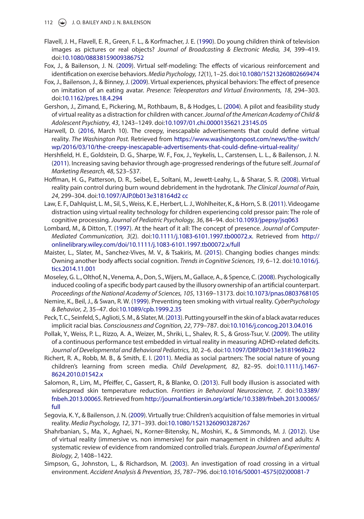- <span id="page-6-14"></span>Flavell, J. H., Flavell, E. R., Green, F. L., & Korfmacher, J. E. [\(1990\)](#page-3-8). Do young children think of television images as pictures or real objects? *Journal of Broadcasting & Electronic Media, 34*, 399–419. doi:[10.1080/08838159009386752](http://dx.doi.org/10.1080/08838159009386752)
- <span id="page-6-11"></span>Fox, J., & Bailenson, J. N. [\(2009\)](#page-3-9). Virtual self-modeling: The effects of vicarious reinforcement and identification on exercise behaviors. *Media Psychology, 12*(1), 1–25. doi[:10.1080/15213260802669474](http://dx.doi.org/10.1080/15213260802669474)
- <span id="page-6-12"></span>Fox, J., Bailenson, J., & Binney, J. ([2009](#page-3-10)). Virtual experiences, physical behaviors: The effect of presence on imitation of an eating avatar. *Presence: Teleoperators and Virtual Environments, 18*, 294–303. doi:[10.1162/pres.18.4.294](http://dx.doi.org/10.1162/pres.18.4.294)
- <span id="page-6-16"></span>Gershon, J., Zimand, E., Pickering, M., Rothbaum, B., & Hodges, L. ([2004](#page-4-4)). A pilot and feasibility study of virtual reality as a distraction for children with cancer. *Journal of the American Academy of Child & Adolescent Psychiatry, 43*, 1243–1249. doi:[10.1097/01.chi.0000135621.23145.05](http://dx.doi.org/10.1097/01.chi.0000135621.23145.05)
- <span id="page-6-0"></span>Harwell, D. ([2016](#page-1-1), March 10). The creepy, inescapable advertisements that could define virtual reality. *The Washington Post.* Retrieved from [https://www.washingtonpost.com/news/the-switch/](https://www.washingtonpost.com/news/the-switch/wp/2016/03/10/the-creepy-inescapable-advertisements-that-could-define-virtual-reality/) [wp/2016/03/10/the-creepy-inescapable-advertisements-that-could-define-virtual-reality/](https://www.washingtonpost.com/news/the-switch/wp/2016/03/10/the-creepy-inescapable-advertisements-that-could-define-virtual-reality/)
- <span id="page-6-13"></span>Hershfield, H. E., Goldstein, D. G., Sharpe, W. F., Fox, J., Yeykelis, L., Carstensen, L. L., & Bailenson, J. N. ([2011](#page-3-11)). Increasing saving behavior through age-progressed renderings of the future self. *Journal of Marketing Research, 48*, S23–S37.
- <span id="page-6-17"></span>Hoffman, H. G., Patterson, D. R., Seibel, E., Soltani, M., Jewett-Leahy, L., & Sharar, S. R. ([2008](#page-4-5)). Virtual reality pain control during burn wound debridement in the hydrotank. *The Clinical Journal of Pain, 24*, 299–304. doi:[10.1097/AJP.0b013e318164d2 cc](http://dx.doi.org/10.1097/AJP.0b013e318164d2 cc)
- <span id="page-6-18"></span>Law, E. F., Dahlquist, L. M., Sil, S., Weiss, K. E., Herbert, L. J., Wohlheiter, K., & Horn, S. B. ([2011\)](#page-4-6). Videogame distraction using virtual reality technology for children experiencing cold pressor pain: The role of cognitive processing. *Journal of Pediatric Psychology, 36*, 84–94. doi:[10.1093/jpepsy/jsq063](http://dx.doi.org/10.1093/jpepsy/jsq063)
- <span id="page-6-6"></span>Lombard, M., & Ditton, T. [\(1997\)](#page-2-3). At the heart of it all: The concept of presence. *Journal of Computer-Mediated Communication, 3*(2). doi:[10.1111/j.1083-6101.1997.tb00072.x.](http://dx.doi.org/10.1111/j.1083-6101.1997.tb00072.x) Retrieved from [http://](http://onlinelibrary.wiley.com/doi/10.1111/j.1083-6101.1997.tb00072.x/full) [onlinelibrary.wiley.com/doi/10.1111/j.1083-6101.1997.tb00072.x/full](http://onlinelibrary.wiley.com/doi/10.1111/j.1083-6101.1997.tb00072.x/full)
- <span id="page-6-7"></span>Maister, L., Slater, M., Sanchez-Vives, M. V., & Tsakiris, M. [\(2015\)](#page-2-4). Changing bodies changes minds: Owning another body affects social cognition. *Trends in Cognitive Sciences, 19*, 6–12. doi:[10.1016/j.](http://dx.doi.org/10.1016/j.tics.2014.11.001) [tics.2014.11.001](http://dx.doi.org/10.1016/j.tics.2014.11.001)
- <span id="page-6-8"></span>Moseley, G. L., Olthof, N., Venema, A., Don, S., Wijers, M., Gallace, A., & Spence, C. [\(2008](#page-2-5)). Psychologically induced cooling of a specific body part caused by the illusory ownership of an artificial counterpart. *Proceedings of the National Academy of Sciences, 105*, 13169–13173. doi:[10.1073/pnas.0803768105](http://dx.doi.org/10.1073/pnas.0803768105)
- <span id="page-6-3"></span>Nemire, K., Beil, J., & Swan, R. W. ([1999](#page-1-2)). Preventing teen smoking with virtual reality. *CyberPsychology & Behavior, 2*, 35–47. doi:[10.1089/cpb.1999.2.35](http://dx.doi.org/10.1089/cpb.1999.2.35)
- <span id="page-6-9"></span>Peck, T. C., Seinfeld, S., Aglioti, S. M., & Slater, M. ([2013\)](#page-2-6). Putting yourself in the skin of a black avatar reduces implicit racial bias. *Consciousness and Cognition, 22*, 779–787. doi[:10.1016/j.concog.2013.04.016](http://dx.doi.org/10.1016/j.concog.2013.04.016)
- <span id="page-6-2"></span>Pollak, Y., Weiss, P. L., Rizzo, A. A., Weizer, M., Shriki, L., Shalev, R. S., & Gross-Tsur, V. ([2009](#page-1-3)). The utility of a continuous performance test embedded in virtual reality in measuring ADHD-related deficits. *Journal of Developmental and Behavioral Pediatrics, 30*, 2–6. doi:[10.1097/DBP.0b013e3181969b22](http://dx.doi.org/10.1097/DBP.0b013e3181969b22)
- <span id="page-6-15"></span>Richert, R. A., Robb, M. B., & Smith, E. I. [\(2011\)](#page-3-12). Media as social partners: The social nature of young children's learning from screen media. *Child Development, 82*, 82–95. doi[:10.1111/j.1467-](http://dx.doi.org/10.1111/j.1467-8624.2010.01542.x) [8624.2010.01542.x](http://dx.doi.org/10.1111/j.1467-8624.2010.01542.x)
- <span id="page-6-10"></span>Salomon, R., Lim, M., Pfeiffer, C., Gassert, R., & Blanke, O. ([2013](#page-2-7)). Full body illusion is associated with widespread skin temperature reduction. *Frontiers in Behavioral Neuroscience, 7*. doi:[10.3389/](http://dx.doi.org/10.3389/fnbeh.2013.00065) [fnbeh.2013.00065.](http://dx.doi.org/10.3389/fnbeh.2013.00065) Retrieved from [http://journal.frontiersin.org/article/10.3389/fnbeh.2013.00065/](http://journal.frontiersin.org/article/10.3389/fnbeh.2013.00065/full) [full](http://journal.frontiersin.org/article/10.3389/fnbeh.2013.00065/full)
- <span id="page-6-5"></span>Segovia, K. Y., & Bailenson, J. N. ([2009](#page-1-4)). Virtually true: Children's acquisition of false memories in virtual reality. *Media Psychology, 12*, 371–393. doi:[10.1080/15213260903287267](http://dx.doi.org/10.1080/15213260903287267)
- <span id="page-6-1"></span>Shahrbanian, S., Ma, X., Aghaei, N., Korner-Bitensky, N., Moshiri, K., & Simmonds, M. J. [\(2012\)](#page-1-5). Use of virtual reality (immersive vs. non immersive) for pain management in children and adults: A systematic review of evidence from randomized controlled trials. *European Journal of Experimental Biology, 2*, 1408–1422.
- <span id="page-6-4"></span>Simpson, G., Johnston, L., & Richardson, M. ([2003](#page-1-6)). An investigation of road crossing in a virtual environment. *Accident Analysis & Prevention, 35*, 787–796. doi[:10.1016/S0001-4575\(02\)00081-7](http://dx.doi.org/10.1016/S0001-4575(02)00081-7)